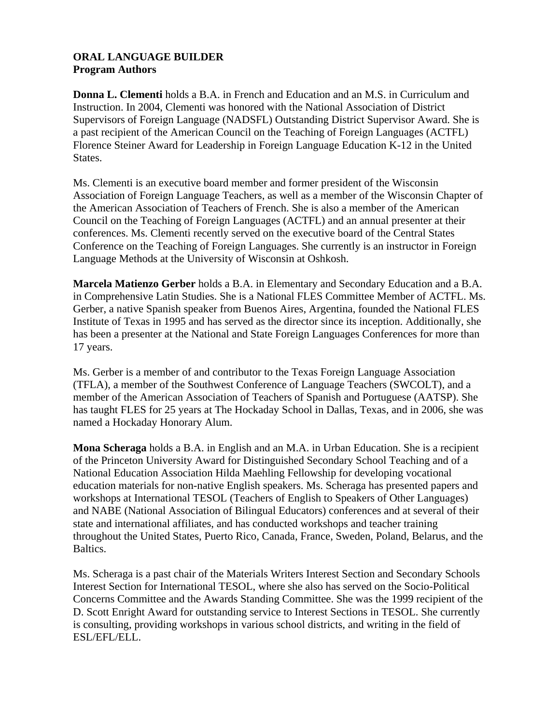## **ORAL LANGUAGE BUILDER Program Authors**

**Donna L. Clementi** holds a B.A. in French and Education and an M.S. in Curriculum and Instruction. In 2004, Clementi was honored with the National Association of District Supervisors of Foreign Language (NADSFL) Outstanding District Supervisor Award. She is a past recipient of the American Council on the Teaching of Foreign Languages (ACTFL) Florence Steiner Award for Leadership in Foreign Language Education K-12 in the United States.

Ms. Clementi is an executive board member and former president of the Wisconsin Association of Foreign Language Teachers, as well as a member of the Wisconsin Chapter of the American Association of Teachers of French. She is also a member of the American Council on the Teaching of Foreign Languages (ACTFL) and an annual presenter at their conferences. Ms. Clementi recently served on the executive board of the Central States Conference on the Teaching of Foreign Languages. She currently is an instructor in Foreign Language Methods at the University of Wisconsin at Oshkosh.

**Marcela Matienzo Gerber** holds a B.A. in Elementary and Secondary Education and a B.A. in Comprehensive Latin Studies. She is a National FLES Committee Member of ACTFL. Ms. Gerber, a native Spanish speaker from Buenos Aires, Argentina, founded the National FLES Institute of Texas in 1995 and has served as the director since its inception. Additionally, she has been a presenter at the National and State Foreign Languages Conferences for more than 17 years.

Ms. Gerber is a member of and contributor to the Texas Foreign Language Association (TFLA), a member of the Southwest Conference of Language Teachers (SWCOLT), and a member of the American Association of Teachers of Spanish and Portuguese (AATSP). She has taught FLES for 25 years at The Hockaday School in Dallas, Texas, and in 2006, she was named a Hockaday Honorary Alum.

**Mona Scheraga** holds a B.A. in English and an M.A. in Urban Education. She is a recipient of the Princeton University Award for Distinguished Secondary School Teaching and of a National Education Association Hilda Maehling Fellowship for developing vocational education materials for non-native English speakers. Ms. Scheraga has presented papers and workshops at International TESOL (Teachers of English to Speakers of Other Languages) and NABE (National Association of Bilingual Educators) conferences and at several of their state and international affiliates, and has conducted workshops and teacher training throughout the United States, Puerto Rico, Canada, France, Sweden, Poland, Belarus, and the Baltics.

Ms. Scheraga is a past chair of the Materials Writers Interest Section and Secondary Schools Interest Section for International TESOL, where she also has served on the Socio-Political Concerns Committee and the Awards Standing Committee. She was the 1999 recipient of the D. Scott Enright Award for outstanding service to Interest Sections in TESOL. She currently is consulting, providing workshops in various school districts, and writing in the field of ESL/EFL/ELL.